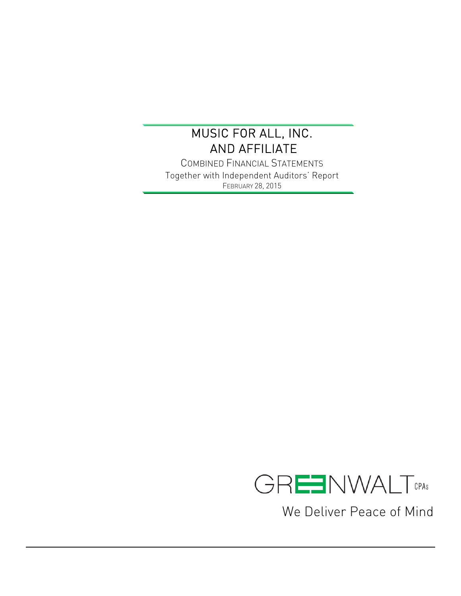$\overline{a}$ 

COMBINED FINANCIAL STATEMENTS Together with Independent Auditors' Report FEBRUARY 28, 2015



We Deliver Peace of Mind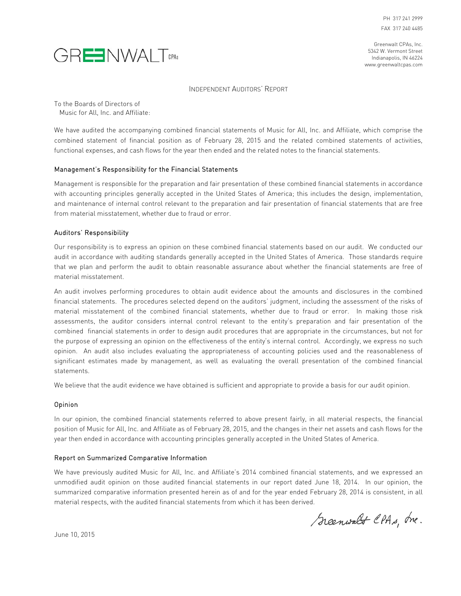



#### INDEPENDENT AUDITORS' REPORT

To the Boards of Directors of Music for All, Inc. and Affiliate:

We have audited the accompanying combined financial statements of Music for All, Inc. and Affiliate, which comprise the combined statement of financial position as of February 28, 2015 and the related combined statements of activities, functional expenses, and cash flows for the year then ended and the related notes to the financial statements.

#### Management's Responsibility for the Financial Statements

Management is responsible for the preparation and fair presentation of these combined financial statements in accordance with accounting principles generally accepted in the United States of America; this includes the design, implementation, and maintenance of internal control relevant to the preparation and fair presentation of financial statements that are free from material misstatement, whether due to fraud or error.

#### Auditors' Responsibility

Our responsibility is to express an opinion on these combined financial statements based on our audit. We conducted our audit in accordance with auditing standards generally accepted in the United States of America. Those standards require that we plan and perform the audit to obtain reasonable assurance about whether the financial statements are free of material misstatement.

An audit involves performing procedures to obtain audit evidence about the amounts and disclosures in the combined financial statements. The procedures selected depend on the auditors' judgment, including the assessment of the risks of material misstatement of the combined financial statements, whether due to fraud or error. In making those risk assessments, the auditor considers internal control relevant to the entity's preparation and fair presentation of the combined financial statements in order to design audit procedures that are appropriate in the circumstances, but not for the purpose of expressing an opinion on the effectiveness of the entity's internal control. Accordingly, we express no such opinion. An audit also includes evaluating the appropriateness of accounting policies used and the reasonableness of significant estimates made by management, as well as evaluating the overall presentation of the combined financial statements.

We believe that the audit evidence we have obtained is sufficient and appropriate to provide a basis for our audit opinion.

#### Opinion

In our opinion, the combined financial statements referred to above present fairly, in all material respects, the financial position of Music for All, Inc. and Affiliate as of February 28, 2015, and the changes in their net assets and cash flows for the year then ended in accordance with accounting principles generally accepted in the United States of America.

#### Report on Summarized Comparative Information

We have previously audited Music for All, Inc. and Affiliate's 2014 combined financial statements, and we expressed an unmodified audit opinion on those audited financial statements in our report dated June 18, 2014. In our opinion, the summarized comparative information presented herein as of and for the year ended February 28, 2014 is consistent, in all material respects, with the audited financial statements from which it has been derived.

Scenwalt CPAs, Inc.

June 10, 2015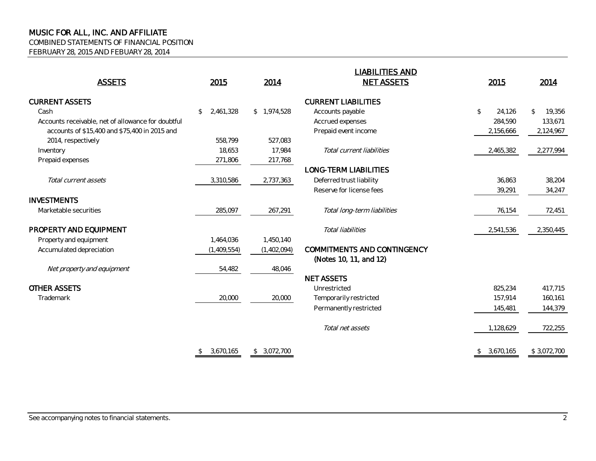COMBINED STATEMENTS OF FINANCIAL POSITION

FEBRUARY 28, 2015 AND FEBUARY 28, 2014

|                                                    |                 |                           | <b>LIABILITIES AND</b>             |                            |                         |
|----------------------------------------------------|-----------------|---------------------------|------------------------------------|----------------------------|-------------------------|
| <b>ASSETS</b>                                      | 2015            | <b>NET ASSETS</b><br>2014 |                                    | 2015                       | 2014                    |
| <b>CURRENT ASSETS</b>                              |                 |                           | <b>CURRENT LIABILITIES</b>         |                            |                         |
| Cash                                               | 2,461,328<br>\$ | \$1,974,528               | Accounts payable                   | \$<br>24,126               | $\mathcal{L}$<br>19,356 |
| Accounts receivable, net of allowance for doubtful |                 |                           | Accrued expenses                   | 284,590                    | 133,671                 |
| accounts of \$15,400 and \$75,400 in 2015 and      |                 |                           | Prepaid event income               | 2,156,666                  | 2,124,967               |
| 2014, respectively                                 | 558.799         | 527,083                   |                                    |                            |                         |
| Inventory                                          | 18.653          | 17,984                    | Total current liabilities          | 2,465,382                  | 2,277,994               |
| Prepaid expenses                                   | 271,806         | 217,768                   |                                    |                            |                         |
|                                                    |                 |                           | <b>LONG-TERM LIABILITIES</b>       |                            |                         |
| Total current assets                               | 3,310,586       | 2,737,363                 | Deferred trust liability           | 36,863                     | 38,204                  |
|                                                    |                 |                           | Reserve for license fees           | 39,291                     | 34,247                  |
| <b>INVESTMENTS</b>                                 |                 |                           |                                    |                            |                         |
| Marketable securities                              | 285,097         | 267,291                   | Total long-term liabilities        | 76,154                     | 72,451                  |
| PROPERTY AND EQUIPMENT                             |                 |                           | Total liabilities                  | 2,541,536                  | 2,350,445               |
| Property and equipment                             | 1,464,036       | 1,450,140                 |                                    |                            |                         |
| Accumulated depreciation                           | (1,409,554)     | (1,402,094)               | <b>COMMITMENTS AND CONTINGENCY</b> |                            |                         |
|                                                    |                 |                           | (Notes 10, 11, and 12)             |                            |                         |
| Net property and equipment                         | 54,482          | 48,046                    |                                    |                            |                         |
|                                                    |                 |                           | <b>NET ASSETS</b>                  |                            |                         |
| <b>OTHER ASSETS</b>                                |                 |                           | Unrestricted                       | 825,234                    | 417,715                 |
| Trademark                                          | 20,000          | 20,000                    | Temporarily restricted             | 157,914                    | 160,161                 |
|                                                    |                 |                           | Permanently restricted             | 145,481                    | 144,379                 |
|                                                    |                 |                           |                                    |                            |                         |
|                                                    |                 |                           | Total net assets                   | 1,128,629                  | 722,255                 |
|                                                    | 3,670,165<br>\$ | \$3.072.700               |                                    | 3,670,165<br>$\mathcal{L}$ | \$3,072,700             |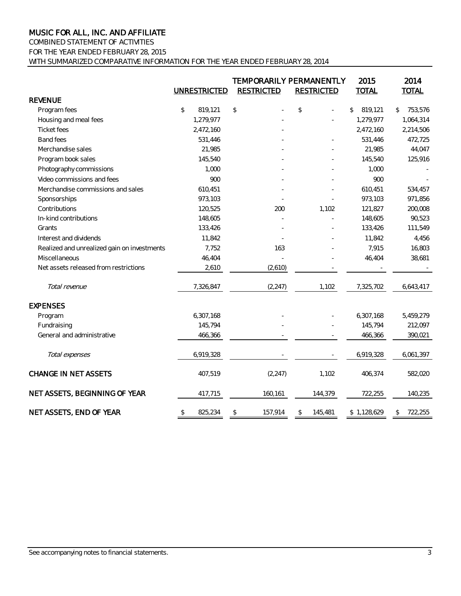COMBINED STATEMENT OF ACTIVITIES FOR THE YEAR ENDED FEBRUARY 28, 2015

WITH SUMMARIZED COMPARATIVE INFORMATION FOR THE YEAR ENDED FEBRUARY 28, 2014

|                                             | <b>UNRESTRICTED</b> | <b>RESTRICTED</b> | <b>TEMPORARILY PERMANENTLY</b><br><b>RESTRICTED</b> | 2015<br><b>TOTAL</b> | 2014<br><b>TOTAL</b> |
|---------------------------------------------|---------------------|-------------------|-----------------------------------------------------|----------------------|----------------------|
| <b>REVENUE</b>                              |                     |                   |                                                     |                      |                      |
| Program fees                                | \$<br>819,121       | $$\mathbb{S}$$    | \$                                                  | 819,121<br>\$        | 753,576<br>\$        |
| Housing and meal fees                       | 1,279,977           |                   |                                                     | 1,279,977            | 1,064,314            |
| <b>Ticket fees</b>                          | 2,472,160           |                   |                                                     | 2,472,160            | 2,214,506            |
| <b>Band fees</b>                            | 531,446             |                   |                                                     | 531,446              | 472,725              |
| Merchandise sales                           | 21,985              |                   |                                                     | 21,985               | 44,047               |
| Program book sales                          | 145,540             |                   |                                                     | 145,540              | 125,916              |
| Photography commissions                     | 1,000               |                   |                                                     | 1,000                |                      |
| Video commissions and fees                  | 900                 |                   |                                                     | 900                  |                      |
| Merchandise commissions and sales           | 610,451             |                   |                                                     | 610,451              | 534,457              |
| Sponsorships                                | 973,103             |                   |                                                     | 973,103              | 971,856              |
| Contributions                               | 120,525             | 200               | 1,102                                               | 121,827              | 200,008              |
| In-kind contributions                       | 148,605             |                   |                                                     | 148,605              | 90,523               |
| Grants                                      | 133,426             |                   |                                                     | 133,426              | 111,549              |
| Interest and dividends                      | 11,842              |                   |                                                     | 11,842               | 4,456                |
| Realized and unrealized gain on investments | 7,752               | 163               |                                                     | 7,915                | 16,803               |
| Miscellaneous                               | 46,404              |                   |                                                     | 46,404               | 38,681               |
| Net assets released from restrictions       | 2,610               | (2,610)           |                                                     |                      |                      |
| Total revenue                               | 7,326,847           | (2, 247)          | 1,102                                               | 7,325,702            | 6,643,417            |
| <b>EXPENSES</b>                             |                     |                   |                                                     |                      |                      |
| Program                                     | 6,307,168           |                   |                                                     | 6,307,168            | 5,459,279            |
| Fundraising                                 | 145,794             |                   |                                                     | 145,794              | 212,097              |
| General and administrative                  | 466,366             |                   |                                                     | 466,366              | 390,021              |
| Total expenses                              | 6,919,328           |                   |                                                     | 6,919,328            | 6,061,397            |
| <b>CHANGE IN NET ASSETS</b>                 | 407,519             | (2, 247)          | 1,102                                               | 406,374              | 582,020              |
| NET ASSETS, BEGINNING OF YEAR               | 417,715             | 160,161           | 144,379                                             | 722,255              | 140,235              |
| NET ASSETS, END OF YEAR                     | \$<br>825,234       | \$<br>157,914     | 145,481<br>\$                                       | \$1,128,629          | 722,255<br>\$        |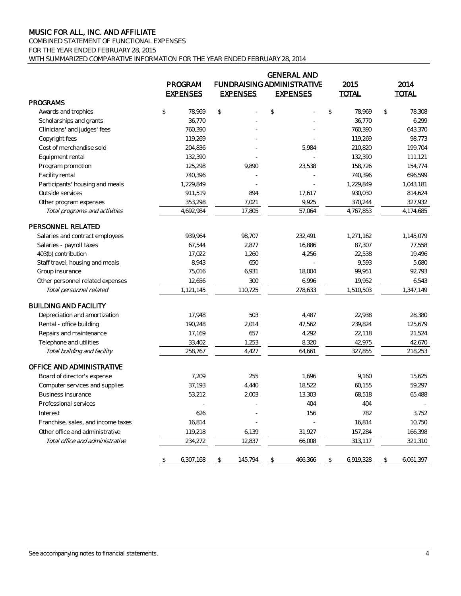COMBINED STATEMENT OF FUNCTIONAL EXPENSES

FOR THE YEAR ENDED FEBRUARY 28, 2015

WITH SUMMARIZED COMPARATIVE INFORMATION FOR THE YEAR ENDED FEBRUARY 28, 2014

|                                    |                 |                 |               | <b>GENERAL AND</b>                |                 |               |              |
|------------------------------------|-----------------|-----------------|---------------|-----------------------------------|-----------------|---------------|--------------|
|                                    | PROGRAM         |                 |               | <b>FUNDRAISING ADMINISTRATIVE</b> | 2015            |               | 2014         |
|                                    | <b>EXPENSES</b> | <b>EXPENSES</b> |               | <b>EXPENSES</b>                   | <b>TOTAL</b>    |               | <b>TOTAL</b> |
| <b>PROGRAMS</b>                    |                 |                 |               |                                   |                 |               |              |
| Awards and trophies                | \$<br>78,969    | \$              | $\mathcal{L}$ |                                   | \$<br>78,969    | $\mathsf{\$}$ | 78,308       |
| Scholarships and grants            | 36,770          |                 |               |                                   | 36,770          |               | 6,299        |
| Clinicians' and judges' fees       | 760,390         |                 |               |                                   | 760,390         |               | 643,370      |
| Copyright fees                     | 119,269         |                 |               |                                   | 119,269         |               | 98,773       |
| Cost of merchandise sold           | 204,836         |                 |               | 5,984                             | 210,820         |               | 199,704      |
| Equipment rental                   | 132,390         |                 |               |                                   | 132,390         |               | 111,121      |
| Program promotion                  | 125,298         | 9,890           |               | 23,538                            | 158,726         |               | 154,774      |
| Facility rental                    | 740,396         |                 |               |                                   | 740,396         |               | 696,599      |
| Participants' housing and meals    | 1,229,849       |                 |               |                                   | 1,229,849       |               | 1,043,181    |
| Outside services                   | 911,519         | 894             |               | 17,617                            | 930,030         |               | 814,624      |
| Other program expenses             | 353,298         | 7,021           |               | 9,925                             | 370,244         |               | 327,932      |
| Total programs and activities      | 4,692,984       | 17,805          |               | 57,064                            | 4,767,853       |               | 4,174,685    |
| PERSONNEL RELATED                  |                 |                 |               |                                   |                 |               |              |
| Salaries and contract employees    | 939.964         | 98.707          |               | 232,491                           | 1,271,162       |               | 1,145,079    |
| Salaries - payroll taxes           | 67,544          | 2,877           |               | 16,886                            | 87,307          |               | 77,558       |
| 403(b) contribution                | 17,022          | 1,260           |               | 4,256                             | 22,538          |               | 19,496       |
| Staff travel, housing and meals    | 8,943           | 650             |               |                                   | 9,593           |               | 5,680        |
| Group insurance                    | 75,016          | 6,931           |               | 18,004                            | 99,951          |               | 92,793       |
| Other personnel related expenses   | 12,656          | 300             |               | 6,996                             | 19,952          |               | 6,543        |
| Total personnel related            | 1,121,145       | 110,725         |               | 278,633                           | 1,510,503       |               | 1,347,149    |
| <b>BUILDING AND FACILITY</b>       |                 |                 |               |                                   |                 |               |              |
| Depreciation and amortization      | 17,948          | 503             |               | 4,487                             | 22,938          |               | 28,380       |
| Rental - office building           | 190,248         | 2,014           |               | 47,562                            | 239,824         |               | 125,679      |
| Repairs and maintenance            | 17,169          | 657             |               | 4,292                             | 22,118          |               | 21,524       |
| Telephone and utilities            | 33,402          | 1,253           |               | 8,320                             | 42,975          |               | 42,670       |
| Total building and facility        | 258,767         | 4,427           |               | 64,661                            | 327,855         |               | 218,253      |
| OFFICE AND ADMINISTRATIVE          |                 |                 |               |                                   |                 |               |              |
| Board of director's expense        | 7,209           | 255             |               | 1,696                             | 9,160           |               | 15,625       |
| Computer services and supplies     | 37,193          | 4,440           |               | 18,522                            | 60,155          |               | 59,297       |
| <b>Business insurance</b>          | 53,212          | 2,003           |               | 13,303                            | 68,518          |               | 65,488       |
| Professional services              |                 |                 |               | 404                               | 404             |               |              |
| Interest                           | 626             |                 |               | 156                               | 782             |               | 3,752        |
| Franchise, sales, and income taxes | 16,814          |                 |               |                                   | 16,814          |               | 10,750       |
| Other office and administrative    | 119,218         | 6,139           |               | 31,927                            | 157,284         |               | 166,398      |
| Total office and administrative    | 234,272         | 12,837          |               | 66,008                            | 313,117         |               | 321,310      |
|                                    | \$<br>6,307,168 | \$<br>145,794   | \$            | 466,366                           | \$<br>6,919,328 | \$            | 6,061,397    |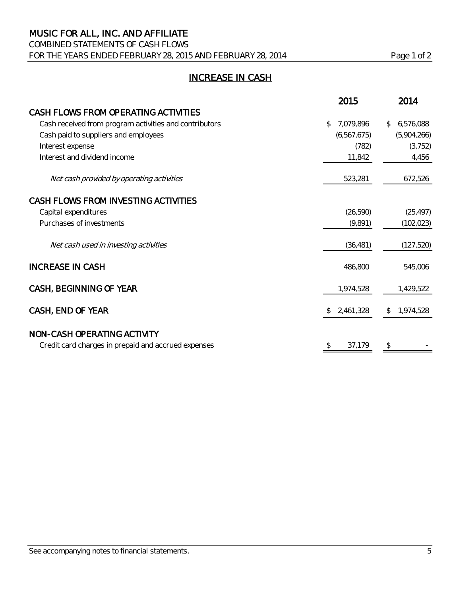COMBINED STATEMENTS OF CASH FLOWS

FOR THE YEARS ENDED FEBRUARY 28, 2015 AND FEBRUARY 28, 2014 Page 1 of 2

## INCREASE IN CASH

|                                                        | 2015            | 2014                      |
|--------------------------------------------------------|-----------------|---------------------------|
| CASH FLOWS FROM OPERATING ACTIVITIES                   |                 |                           |
| Cash received from program activities and contributors | 7,079,896<br>\$ | 6,576,088<br>\$           |
| Cash paid to suppliers and employees                   | (6,567,675)     | (5,904,266)               |
| Interest expense                                       | (782)           | (3, 752)                  |
| Interest and dividend income                           | 11,842          | 4,456                     |
| Net cash provided by operating activities              | 523,281         | 672,526                   |
| CASH FLOWS FROM INVESTING ACTIVITIES                   |                 |                           |
| Capital expenditures                                   | (26, 590)       | (25, 497)                 |
| Purchases of investments                               | (9,891)         | (102, 023)                |
| Net cash used in investing activities                  | (36, 481)       | (127, 520)                |
| <b>INCREASE IN CASH</b>                                | 486,800         | 545,006                   |
| CASH, BEGINNING OF YEAR                                | 1,974,528       | 1,429,522                 |
| CASH, END OF YEAR                                      | 2,461,328       | 1,974,528<br>$\mathbb{S}$ |
| NON-CASH OPERATING ACTIVITY                            |                 |                           |
| Credit card charges in prepaid and accrued expenses    | 37,179<br>\$    | \$                        |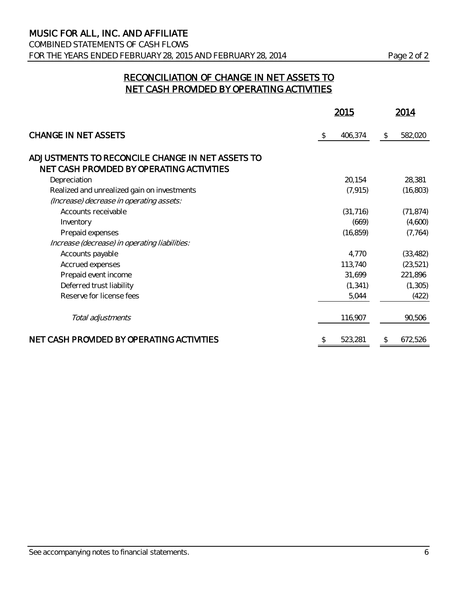COMBINED STATEMENTS OF CASH FLOWS FOR THE YEARS ENDED FEBRUARY 28, 2015 AND FEBRUARY 28, 2014 Page 2 of 2

### RECONCILIATION OF CHANGE IN NET ASSETS TO NET CASH PROVIDED BY OPERATING ACTIVITIES

|                                                  |     | 2015      | 2014          |
|--------------------------------------------------|-----|-----------|---------------|
| <b>CHANGE IN NET ASSETS</b>                      | -\$ | 406,374   | \$<br>582,020 |
| ADJUSTMENTS TO RECONCILE CHANGE IN NET ASSETS TO |     |           |               |
| NET CASH PROVIDED BY OPERATING ACTIVITIES        |     |           |               |
| Depreciation                                     |     | 20,154    | 28,381        |
| Realized and unrealized gain on investments      |     | (7, 915)  | (16, 803)     |
| (Increase) decrease in operating assets:         |     |           |               |
| Accounts receivable                              |     | (31, 716) | (71, 874)     |
| Inventory                                        |     | (669)     | (4,600)       |
| Prepaid expenses                                 |     | (16, 859) | (7, 764)      |
| Increase (decrease) in operating liabilities:    |     |           |               |
| Accounts payable                                 |     | 4,770     | (33, 482)     |
| Accrued expenses                                 |     | 113,740   | (23, 521)     |
| Prepaid event income                             |     | 31,699    | 221,896       |
| Deferred trust liability                         |     | (1, 341)  | (1, 305)      |
| Reserve for license fees                         |     | 5,044     | (422)         |
| Total adjustments                                |     | 116,907   | 90,506        |
| NET CASH PROVIDED BY OPERATING ACTIVITIES        |     | 523,281   | \$<br>672,526 |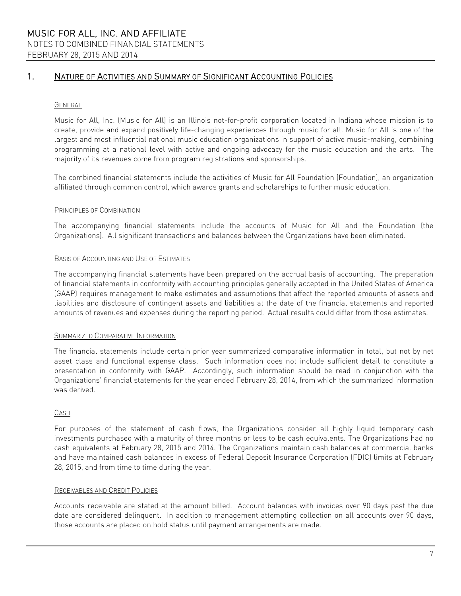#### GENERAL

Music for All, Inc. (Music for All) is an Illinois not-for-profit corporation located in Indiana whose mission is to create, provide and expand positively life-changing experiences through music for all. Music for All is one of the largest and most influential national music education organizations in support of active music-making, combining programming at a national level with active and ongoing advocacy for the music education and the arts. The majority of its revenues come from program registrations and sponsorships.

The combined financial statements include the activities of Music for All Foundation (Foundation), an organization affiliated through common control, which awards grants and scholarships to further music education.

#### PRINCIPLES OF COMBINATION

The accompanying financial statements include the accounts of Music for All and the Foundation (the Organizations). All significant transactions and balances between the Organizations have been eliminated.

#### BASIS OF ACCOUNTING AND USE OF ESTIMATES

The accompanying financial statements have been prepared on the accrual basis of accounting. The preparation of financial statements in conformity with accounting principles generally accepted in the United States of America (GAAP) requires management to make estimates and assumptions that affect the reported amounts of assets and liabilities and disclosure of contingent assets and liabilities at the date of the financial statements and reported amounts of revenues and expenses during the reporting period. Actual results could differ from those estimates.

#### SUMMARIZED COMPARATIVE INFORMATION

The financial statements include certain prior year summarized comparative information in total, but not by net asset class and functional expense class. Such information does not include sufficient detail to constitute a presentation in conformity with GAAP. Accordingly, such information should be read in conjunction with the Organizations' financial statements for the year ended February 28, 2014, from which the summarized information was derived.

#### CASH

For purposes of the statement of cash flows, the Organizations consider all highly liquid temporary cash investments purchased with a maturity of three months or less to be cash equivalents. The Organizations had no cash equivalents at February 28, 2015 and 2014. The Organizations maintain cash balances at commercial banks and have maintained cash balances in excess of Federal Deposit Insurance Corporation (FDIC) limits at February 28, 2015, and from time to time during the year.

#### RECEIVABLES AND CREDIT POLICIES

Accounts receivable are stated at the amount billed. Account balances with invoices over 90 days past the due date are considered delinquent. In addition to management attempting collection on all accounts over 90 days, those accounts are placed on hold status until payment arrangements are made.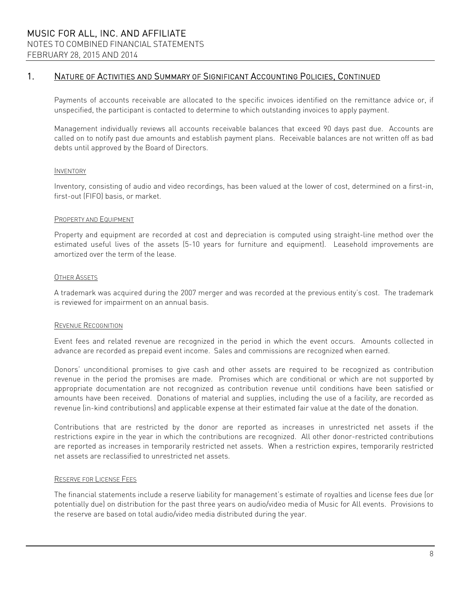Payments of accounts receivable are allocated to the specific invoices identified on the remittance advice or, if unspecified, the participant is contacted to determine to which outstanding invoices to apply payment.

Management individually reviews all accounts receivable balances that exceed 90 days past due. Accounts are called on to notify past due amounts and establish payment plans. Receivable balances are not written off as bad debts until approved by the Board of Directors.

#### INVENTORY

Inventory, consisting of audio and video recordings, has been valued at the lower of cost, determined on a first-in, first-out (FIFO) basis, or market.

#### PROPERTY AND EQUIPMENT

Property and equipment are recorded at cost and depreciation is computed using straight-line method over the estimated useful lives of the assets (5-10 years for furniture and equipment). Leasehold improvements are amortized over the term of the lease.

#### OTHER ASSETS

A trademark was acquired during the 2007 merger and was recorded at the previous entity's cost. The trademark is reviewed for impairment on an annual basis.

#### REVENUE RECOGNITION

Event fees and related revenue are recognized in the period in which the event occurs. Amounts collected in advance are recorded as prepaid event income. Sales and commissions are recognized when earned.

Donors' unconditional promises to give cash and other assets are required to be recognized as contribution revenue in the period the promises are made. Promises which are conditional or which are not supported by appropriate documentation are not recognized as contribution revenue until conditions have been satisfied or amounts have been received. Donations of material and supplies, including the use of a facility, are recorded as revenue (in-kind contributions) and applicable expense at their estimated fair value at the date of the donation.

Contributions that are restricted by the donor are reported as increases in unrestricted net assets if the restrictions expire in the year in which the contributions are recognized. All other donor-restricted contributions are reported as increases in temporarily restricted net assets. When a restriction expires, temporarily restricted net assets are reclassified to unrestricted net assets.

#### RESERVE FOR LICENSE FEES

The financial statements include a reserve liability for management's estimate of royalties and license fees due (or potentially due) on distribution for the past three years on audio/video media of Music for All events. Provisions to the reserve are based on total audio/video media distributed during the year.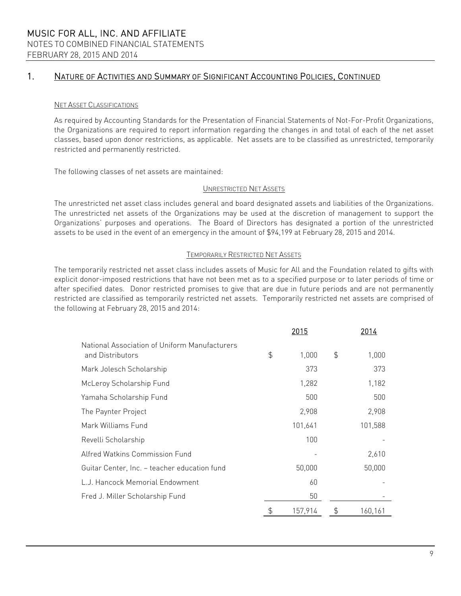#### NET ASSET CLASSIFICATIONS

As required by Accounting Standards for the Presentation of Financial Statements of Not-For-Profit Organizations, the Organizations are required to report information regarding the changes in and total of each of the net asset classes, based upon donor restrictions, as applicable. Net assets are to be classified as unrestricted, temporarily restricted and permanently restricted.

The following classes of net assets are maintained:

#### UNRESTRICTED NET ASSETS

The unrestricted net asset class includes general and board designated assets and liabilities of the Organizations. The unrestricted net assets of the Organizations may be used at the discretion of management to support the Organizations' purposes and operations. The Board of Directors has designated a portion of the unrestricted assets to be used in the event of an emergency in the amount of \$94,199 at February 28, 2015 and 2014.

#### TEMPORARILY RESTRICTED NET ASSETS

The temporarily restricted net asset class includes assets of Music for All and the Foundation related to gifts with explicit donor-imposed restrictions that have not been met as to a specified purpose or to later periods of time or after specified dates. Donor restricted promises to give that are due in future periods and are not permanently restricted are classified as temporarily restricted net assets. Temporarily restricted net assets are comprised of the following at February 28, 2015 and 2014:

|                                                                   | <u> 2015</u>  | 2014          |
|-------------------------------------------------------------------|---------------|---------------|
| National Association of Uniform Manufacturers<br>and Distributors | \$<br>1,000   | \$<br>1,000   |
| Mark Jolesch Scholarship                                          | 373           | 373           |
| McLeroy Scholarship Fund                                          | 1,282         | 1,182         |
| Yamaha Scholarship Fund                                           | 500           | 500           |
| The Paynter Project                                               | 2,908         | 2,908         |
| Mark Williams Fund                                                | 101,641       | 101,588       |
| Revelli Scholarship                                               | 100           |               |
| Alfred Watkins Commission Fund                                    |               | 2,610         |
| Guitar Center, Inc. - teacher education fund                      | 50,000        | 50,000        |
| L.J. Hancock Memorial Endowment                                   | 60            |               |
| Fred J. Miller Scholarship Fund                                   | 50            |               |
|                                                                   | \$<br>157,914 | \$<br>160,161 |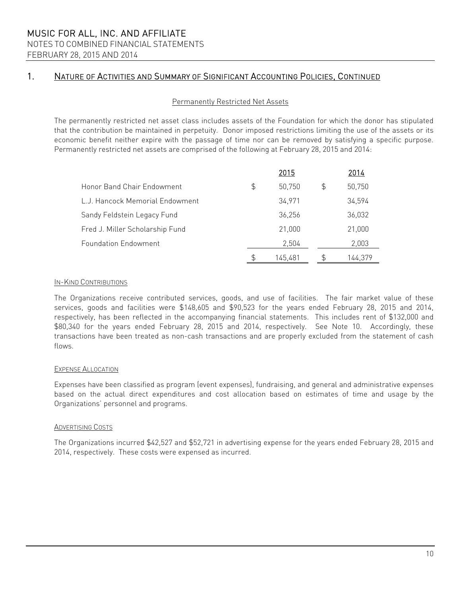#### Permanently Restricted Net Assets

The permanently restricted net asset class includes assets of the Foundation for which the donor has stipulated that the contribution be maintained in perpetuity. Donor imposed restrictions limiting the use of the assets or its economic benefit neither expire with the passage of time nor can be removed by satisfying a specific purpose. Permanently restricted net assets are comprised of the following at February 28, 2015 and 2014:

|                                 | 2015         | 2014         |
|---------------------------------|--------------|--------------|
| Honor Band Chair Endowment      | \$<br>50,750 | \$<br>50,750 |
| L.J. Hancock Memorial Endowment | 34,971       | 34,594       |
| Sandy Feldstein Legacy Fund     | 36,256       | 36,032       |
| Fred J. Miller Scholarship Fund | 21,000       | 21,000       |
| <b>Foundation Endowment</b>     | 2,504        | 2,003        |
|                                 | 145.481      | 144.379      |

#### IN-KIND CONTRIBUTIONS

The Organizations receive contributed services, goods, and use of facilities. The fair market value of these services, goods and facilities were \$148,605 and \$90,523 for the years ended February 28, 2015 and 2014, respectively, has been reflected in the accompanying financial statements. This includes rent of \$132,000 and \$80,340 for the years ended February 28, 2015 and 2014, respectively. See Note 10. Accordingly, these transactions have been treated as non-cash transactions and are properly excluded from the statement of cash flows.

#### EXPENSE ALLOCATION

Expenses have been classified as program (event expenses), fundraising, and general and administrative expenses based on the actual direct expenditures and cost allocation based on estimates of time and usage by the Organizations' personnel and programs.

#### ADVERTISING COSTS

The Organizations incurred \$42,527 and \$52,721 in advertising expense for the years ended February 28, 2015 and 2014, respectively. These costs were expensed as incurred.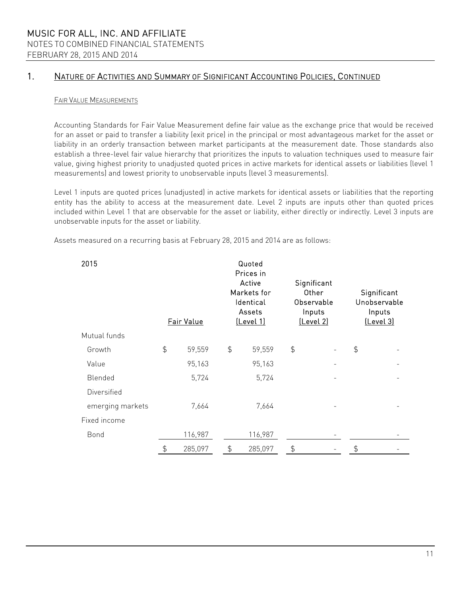#### FAIR VALUE MEASUREMENTS

Accounting Standards for Fair Value Measurement define fair value as the exchange price that would be received for an asset or paid to transfer a liability (exit price) in the principal or most advantageous market for the asset or liability in an orderly transaction between market participants at the measurement date. Those standards also establish a three-level fair value hierarchy that prioritizes the inputs to valuation techniques used to measure fair value, giving highest priority to unadjusted quoted prices in active markets for identical assets or liabilities (level 1 measurements) and lowest priority to unobservable inputs (level 3 measurements).

Level 1 inputs are quoted prices (unadjusted) in active markets for identical assets or liabilities that the reporting entity has the ability to access at the measurement date. Level 2 inputs are inputs other than quoted prices included within Level 1 that are observable for the asset or liability, either directly or indirectly. Level 3 inputs are unobservable inputs for the asset or liability.

Assets measured on a recurring basis at February 28, 2015 and 2014 are as follows:

| 2015             |               | Fair Value | Quoted<br>Prices in<br>Active<br>Significant<br>Markets for<br>Other<br>Identical<br>Observable<br>Assets<br>Inputs<br>[Level 2]<br><u>(Level 1)</u> |         |               | Significant<br>Unobservable<br>Inputs<br>[Level 3] |  |
|------------------|---------------|------------|------------------------------------------------------------------------------------------------------------------------------------------------------|---------|---------------|----------------------------------------------------|--|
| Mutual funds     |               |            |                                                                                                                                                      |         |               |                                                    |  |
| Growth           | $\frac{1}{2}$ | 59,559     | $\frac{4}{5}$                                                                                                                                        | 59,559  | $\frac{4}{5}$ | $\frac{1}{2}$                                      |  |
| Value            |               | 95,163     |                                                                                                                                                      | 95,163  |               |                                                    |  |
| Blended          |               | 5,724      |                                                                                                                                                      | 5,724   |               |                                                    |  |
| Diversified      |               |            |                                                                                                                                                      |         |               |                                                    |  |
| emerging markets |               | 7,664      |                                                                                                                                                      | 7,664   |               |                                                    |  |
| Fixed income     |               |            |                                                                                                                                                      |         |               |                                                    |  |
| Bond             |               | 116,987    |                                                                                                                                                      | 116,987 |               |                                                    |  |
|                  | \$            | 285,097    | \$                                                                                                                                                   | 285,097 |               | \$                                                 |  |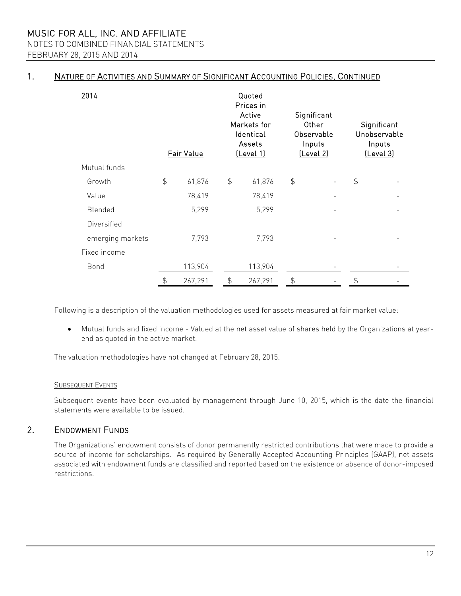MUSIC FOR ALL, INC. AND AFFILIATE NOTES TO COMBINED FINANCIAL STATEMENTS

FEBRUARY 28, 2015 AND 2014

### 1. NATURE OF ACTIVITIES AND SUMMARY OF SIGNIFICANT ACCOUNTING POLICIES, CONTINUED

| 2014             |               | Fair Value |               | Quoted<br>Prices in<br>Active<br>Markets for<br>Identical<br>Assets<br><u>(Level 1)</u> | Significant<br>Other<br>Observable<br>Inputs<br>[Level 2] |  |               | Significant<br>Unobservable<br>Inputs<br><u>(Level 3)</u> |
|------------------|---------------|------------|---------------|-----------------------------------------------------------------------------------------|-----------------------------------------------------------|--|---------------|-----------------------------------------------------------|
| Mutual funds     |               |            |               |                                                                                         |                                                           |  |               |                                                           |
| Growth           | $\frac{4}{5}$ | 61,876     | $\frac{4}{5}$ | 61,876                                                                                  | $\frac{4}{5}$                                             |  | $\frac{4}{5}$ |                                                           |
| Value            |               | 78,419     |               | 78,419                                                                                  |                                                           |  |               |                                                           |
| Blended          |               | 5,299      |               | 5,299                                                                                   |                                                           |  |               |                                                           |
| Diversified      |               |            |               |                                                                                         |                                                           |  |               |                                                           |
| emerging markets |               | 7,793      |               | 7,793                                                                                   |                                                           |  |               |                                                           |
| Fixed income     |               |            |               |                                                                                         |                                                           |  |               |                                                           |
| Bond             |               | 113,904    |               | 113,904                                                                                 |                                                           |  |               |                                                           |
|                  | $\frac{4}{5}$ | 267,291    | $\frac{4}{5}$ | 267,291                                                                                 | \$                                                        |  | $\frac{4}{5}$ |                                                           |

Following is a description of the valuation methodologies used for assets measured at fair market value:

 Mutual funds and fixed income - Valued at the net asset value of shares held by the Organizations at yearend as quoted in the active market.

The valuation methodologies have not changed at February 28, 2015.

### SUBSEQUENT EVENTS

Subsequent events have been evaluated by management through June 10, 2015, which is the date the financial statements were available to be issued.

### 2. ENDOWMENT FUNDS

The Organizations' endowment consists of donor permanently restricted contributions that were made to provide a source of income for scholarships. As required by Generally Accepted Accounting Principles (GAAP), net assets associated with endowment funds are classified and reported based on the existence or absence of donor-imposed restrictions.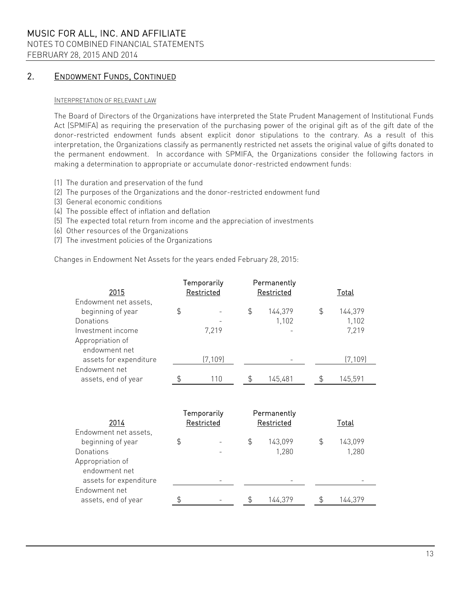## MUSIC FOR ALL, INC. AND AFFILIATE NOTES TO COMBINED FINANCIAL STATEMENTS

FEBRUARY 28, 2015 AND 2014

### 2. ENDOWMENT FUNDS, CONTINUED

#### INTERPRETATION OF RELEVANT LAW

The Board of Directors of the Organizations have interpreted the State Prudent Management of Institutional Funds Act (SPMIFA) as requiring the preservation of the purchasing power of the original gift as of the gift date of the donor-restricted endowment funds absent explicit donor stipulations to the contrary. As a result of this interpretation, the Organizations classify as permanently restricted net assets the original value of gifts donated to the permanent endowment. In accordance with SPMIFA, the Organizations consider the following factors in making a determination to appropriate or accumulate donor-restricted endowment funds:

- (1) The duration and preservation of the fund
- (2) The purposes of the Organizations and the donor-restricted endowment fund
- (3) General economic conditions
- (4) The possible effect of inflation and deflation
- (5) The expected total return from income and the appreciation of investments
- (6) Other resources of the Organizations
- (7) The investment policies of the Organizations

Changes in Endowment Net Assets for the years ended February 28, 2015:

| 2015                   | Temporarily<br>Restricted |          | Permanently<br>Restricted |         |  | Total |          |  |  |
|------------------------|---------------------------|----------|---------------------------|---------|--|-------|----------|--|--|
| Endowment net assets,  |                           |          |                           |         |  |       |          |  |  |
| beginning of year      | \$                        |          | \$                        | 144,379 |  | \$    | 144,379  |  |  |
| Donations              |                           |          |                           | 1,102   |  |       | 1,102    |  |  |
| Investment income      |                           | 7.219    |                           |         |  |       | 7,219    |  |  |
| Appropriation of       |                           |          |                           |         |  |       |          |  |  |
| endowment net          |                           |          |                           |         |  |       |          |  |  |
| assets for expenditure |                           | (7, 109) |                           |         |  |       | (7, 109) |  |  |
| Endowment net          |                           |          |                           |         |  |       |          |  |  |
| assets, end of year    |                           | 110      |                           | 145,481 |  |       | 145,591  |  |  |

| 2014                   | Temporarily<br>Restricted |    | Permanently<br>Restricted | Total   |  |  |
|------------------------|---------------------------|----|---------------------------|---------|--|--|
| Endowment net assets,  |                           |    |                           |         |  |  |
| beginning of year      | \$                        | \$ | 143,099                   | 143,099 |  |  |
| Donations              |                           |    | 1,280                     | 1,280   |  |  |
| Appropriation of       |                           |    |                           |         |  |  |
| endowment net          |                           |    |                           |         |  |  |
| assets for expenditure |                           |    |                           |         |  |  |
| Endowment net          |                           |    |                           |         |  |  |
| assets, end of year    |                           |    | 144.379                   | 144.379 |  |  |
|                        |                           |    |                           |         |  |  |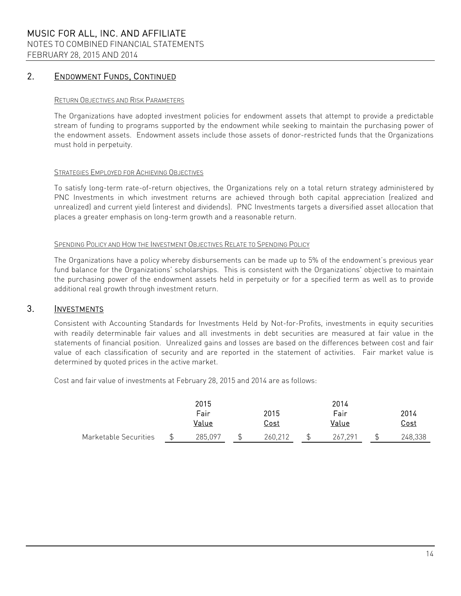### 2. ENDOWMENT FUNDS, CONTINUED

#### RETURN OBJECTIVES AND RISK PARAMETERS

The Organizations have adopted investment policies for endowment assets that attempt to provide a predictable stream of funding to programs supported by the endowment while seeking to maintain the purchasing power of the endowment assets. Endowment assets include those assets of donor-restricted funds that the Organizations must hold in perpetuity.

#### STRATEGIES EMPLOYED FOR ACHIEVING OBJECTIVES

To satisfy long-term rate-of-return objectives, the Organizations rely on a total return strategy administered by PNC Investments in which investment returns are achieved through both capital appreciation (realized and unrealized) and current yield (interest and dividends). PNC Investments targets a diversified asset allocation that places a greater emphasis on long-term growth and a reasonable return.

#### SPENDING POLICY AND HOW THE INVESTMENT OBJECTIVES RELATE TO SPENDING POLICY

The Organizations have a policy whereby disbursements can be made up to 5% of the endowment's previous year fund balance for the Organizations' scholarships. This is consistent with the Organizations' objective to maintain the purchasing power of the endowment assets held in perpetuity or for a specified term as well as to provide additional real growth through investment return.

### 3. INVESTMENTS

Consistent with Accounting Standards for Investments Held by Not-for-Profits, investments in equity securities with readily determinable fair values and all investments in debt securities are measured at fair value in the statements of financial position. Unrealized gains and losses are based on the differences between cost and fair value of each classification of security and are reported in the statement of activities. Fair market value is determined by quoted prices in the active market.

Cost and fair value of investments at February 28, 2015 and 2014 are as follows:

|                       |      | 2015    |             |  | 2014    |  |             |  |
|-----------------------|------|---------|-------------|--|---------|--|-------------|--|
|                       | Fair |         | 2015        |  | Fair    |  | 2014        |  |
|                       |      | Value   | <u>Cost</u> |  | Value   |  | <u>Cost</u> |  |
| Marketable Securities |      | 285.097 | 260,212     |  | 267.291 |  | 248,338     |  |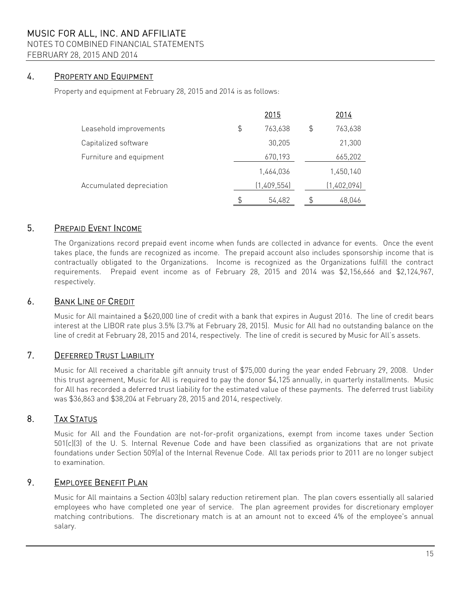### NOTES TO COMBINED FINANCIAL STATEMENTS

FEBRUARY 28, 2015 AND 2014

### 4. PROPERTY AND EQUIPMENT

Property and equipment at February 28, 2015 and 2014 is as follows:

|                          | 2015          |                | 2014        |
|--------------------------|---------------|----------------|-------------|
| Leasehold improvements   | \$<br>763,638 | $\mathfrak{S}$ | 763,638     |
| Capitalized software     | 30,205        |                | 21,300      |
| Furniture and equipment  | 670,193       |                | 665,202     |
|                          | 1,464,036     |                | 1,450,140   |
| Accumulated depreciation | (1,409,554)   |                | (1,402,094) |
|                          | 54,482        |                | 48,046      |

### 5. PREPAID EVENT INCOME

The Organizations record prepaid event income when funds are collected in advance for events. Once the event takes place, the funds are recognized as income. The prepaid account also includes sponsorship income that is contractually obligated to the Organizations. Income is recognized as the Organizations fulfill the contract requirements. Prepaid event income as of February 28, 2015 and 2014 was \$2,156,666 and \$2,124,967, respectively.

### 6. BANK LINE OF CREDIT

Music for All maintained a \$620,000 line of credit with a bank that expires in August 2016. The line of credit bears interest at the LIBOR rate plus 3.5% (3.7% at February 28, 2015). Music for All had no outstanding balance on the line of credit at February 28, 2015 and 2014, respectively. The line of credit is secured by Music for All's assets.

### 7. DEFERRED TRUST LIABILITY

Music for All received a charitable gift annuity trust of \$75,000 during the year ended February 29, 2008. Under this trust agreement, Music for All is required to pay the donor \$4,125 annually, in quarterly installments. Music for All has recorded a deferred trust liability for the estimated value of these payments. The deferred trust liability was \$36,863 and \$38,204 at February 28, 2015 and 2014, respectively.

### 8. TAX STATUS

Music for All and the Foundation are not-for-profit organizations, exempt from income taxes under Section 501(c)(3) of the U. S. Internal Revenue Code and have been classified as organizations that are not private foundations under Section 509(a) of the Internal Revenue Code. All tax periods prior to 2011 are no longer subject to examination.

### 9. EMPLOYEE BENEFIT PLAN

Music for All maintains a Section 403(b) salary reduction retirement plan. The plan covers essentially all salaried employees who have completed one year of service. The plan agreement provides for discretionary employer matching contributions. The discretionary match is at an amount not to exceed 4% of the employee's annual salary.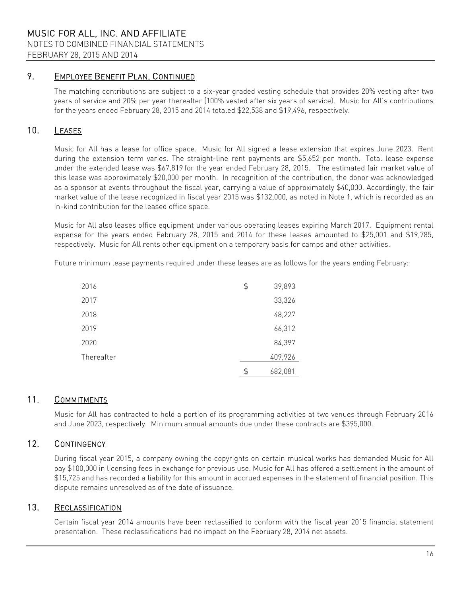### 9. EMPLOYEE BENEFIT PLAN, CONTINUED

The matching contributions are subject to a six-year graded vesting schedule that provides 20% vesting after two years of service and 20% per year thereafter (100% vested after six years of service). Music for All's contributions for the years ended February 28, 2015 and 2014 totaled \$22,538 and \$19,496, respectively.

### 10. LEASES

Music for All has a lease for office space. Music for All signed a lease extension that expires June 2023. Rent during the extension term varies. The straight-line rent payments are \$5,652 per month. Total lease expense under the extended lease was \$67,819 for the year ended February 28, 2015. The estimated fair market value of this lease was approximately \$20,000 per month. In recognition of the contribution, the donor was acknowledged as a sponsor at events throughout the fiscal year, carrying a value of approximately \$40,000. Accordingly, the fair market value of the lease recognized in fiscal year 2015 was \$132,000, as noted in Note 1, which is recorded as an in-kind contribution for the leased office space.

Music for All also leases office equipment under various operating leases expiring March 2017. Equipment rental expense for the years ended February 28, 2015 and 2014 for these leases amounted to \$25,001 and \$19,785, respectively. Music for All rents other equipment on a temporary basis for camps and other activities.

Future minimum lease payments required under these leases are as follows for the years ending February:

| 2016       | \$<br>39,893  |
|------------|---------------|
| 2017       | 33,326        |
| 2018       | 48,227        |
| 2019       | 66,312        |
| 2020       | 84,397        |
| Thereafter | 409,926       |
|            | \$<br>682,081 |

### 11. COMMITMENTS

Music for All has contracted to hold a portion of its programming activities at two venues through February 2016 and June 2023, respectively. Minimum annual amounts due under these contracts are \$395,000.

### 12. CONTINGENCY

During fiscal year 2015, a company owning the copyrights on certain musical works has demanded Music for All pay \$100,000 in licensing fees in exchange for previous use. Music for All has offered a settlement in the amount of \$15,725 and has recorded a liability for this amount in accrued expenses in the statement of financial position. This dispute remains unresolved as of the date of issuance.

### 13. RECLASSIFICATION

Certain fiscal year 2014 amounts have been reclassified to conform with the fiscal year 2015 financial statement presentation. These reclassifications had no impact on the February 28, 2014 net assets.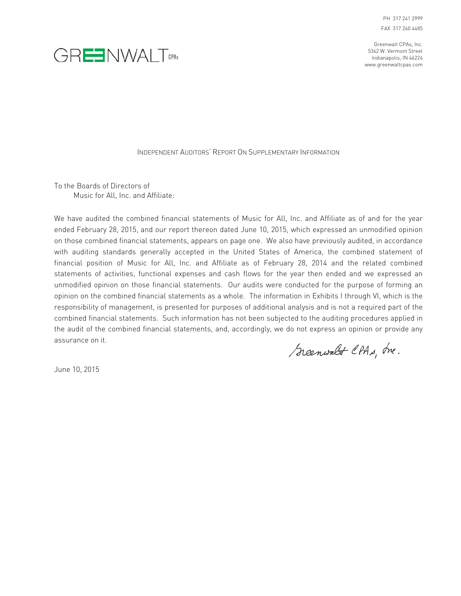Greenwalt CPAs, Inc. 5342 W. Vermont Street Indianapolis, IN 46224 www.greenwaltcpas.com



#### INDEPENDENT AUDITORS' REPORT ON SUPPLEMENTARY INFORMATION

To the Boards of Directors of Music for All, Inc. and Affiliate:

We have audited the combined financial statements of Music for All, Inc. and Affiliate as of and for the year ended February 28, 2015, and our report thereon dated June 10, 2015, which expressed an unmodified opinion on those combined financial statements, appears on page one. We also have previously audited, in accordance with auditing standards generally accepted in the United States of America, the combined statement of financial position of Music for All, Inc. and Affiliate as of February 28, 2014 and the related combined statements of activities, functional expenses and cash flows for the year then ended and we expressed an unmodified opinion on those financial statements. Our audits were conducted for the purpose of forming an opinion on the combined financial statements as a whole. The information in Exhibits I through VI, which is the responsibility of management, is presented for purposes of additional analysis and is not a required part of the combined financial statements. Such information has not been subjected to the auditing procedures applied in the audit of the combined financial statements, and, accordingly, we do not express an opinion or provide any assurance on it.

Greenwalt CPAs, Ine.

June 10, 2015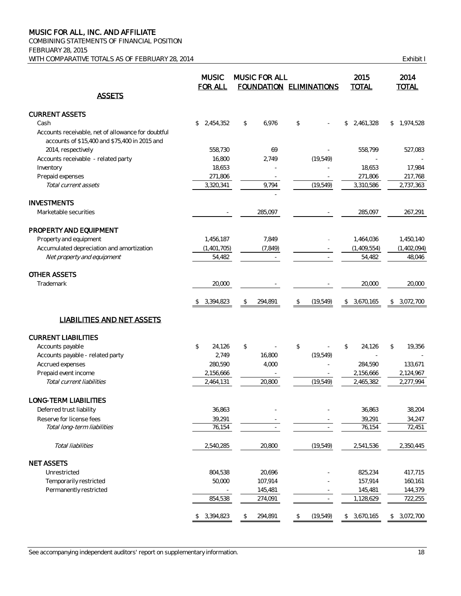COMBINING STATEMENTS OF FINANCIAL POSITION FEBRUARY 28, 2015 WITH COMPARATIVE TOTALS AS OF FEBRUARY 28, 2014 COMPARATIVE TOTALS AS OF FEBRUARY 28, 2014

|                                                                                                     | <b>MUSIC</b><br><b>FOR ALL</b> |               | <b>MUSIC FOR ALL</b> | <b>FOUNDATION ELIMINATIONS</b> | 2015<br><b>TOTAL</b> |             | 2014<br><b>TOTAL</b> |             |
|-----------------------------------------------------------------------------------------------------|--------------------------------|---------------|----------------------|--------------------------------|----------------------|-------------|----------------------|-------------|
| <b>ASSETS</b>                                                                                       |                                |               |                      |                                |                      |             |                      |             |
| <b>CURRENT ASSETS</b>                                                                               |                                |               |                      |                                |                      |             |                      |             |
| Cash                                                                                                | 2,454,352<br>\$                | \$            | 6,976                | \$                             | \$                   | 2,461,328   |                      | \$1,974,528 |
| Accounts receivable, net of allowance for doubtful<br>accounts of \$15,400 and \$75,400 in 2015 and |                                |               |                      |                                |                      |             |                      |             |
| 2014, respectively                                                                                  | 558,730                        |               | 69                   |                                |                      | 558,799     |                      | 527,083     |
| Accounts receivable - related party                                                                 | 16,800                         |               | 2,749                | (19, 549)                      |                      |             |                      |             |
| Inventory                                                                                           | 18,653                         |               |                      |                                |                      | 18,653      |                      | 17,984      |
| Prepaid expenses                                                                                    | 271,806                        |               |                      |                                |                      | 271,806     |                      | 217,768     |
| Total current assets                                                                                | 3,320,341                      |               | 9,794                | (19, 549)                      |                      | 3,310,586   |                      | 2,737,363   |
| <b>INVESTMENTS</b>                                                                                  |                                |               |                      |                                |                      |             |                      |             |
| Marketable securities                                                                               |                                |               | 285,097              |                                |                      | 285,097     |                      | 267,291     |
| PROPERTY AND EQUIPMENT                                                                              |                                |               |                      |                                |                      |             |                      |             |
| Property and equipment                                                                              | 1,456,187                      |               | 7,849                |                                |                      | 1,464,036   |                      | 1,450,140   |
| Accumulated depreciation and amortization                                                           | (1,401,705)                    |               | (7, 849)             |                                |                      | (1,409,554) |                      | (1,402,094) |
| Net property and equipment                                                                          | 54,482                         |               |                      |                                |                      | 54,482      |                      | 48,046      |
| <b>OTHER ASSETS</b>                                                                                 |                                |               |                      |                                |                      |             |                      |             |
| Trademark                                                                                           | 20,000                         |               |                      |                                |                      | 20.000      |                      | 20,000      |
|                                                                                                     | 3,394,823<br>\$                | \$            | 294,891              | \$<br>(19, 549)                | \$                   | 3,670,165   | \$                   | 3,072,700   |
| <b>LIABILITIES AND NET ASSETS</b>                                                                   |                                |               |                      |                                |                      |             |                      |             |
| <b>CURRENT LIABILITIES</b>                                                                          |                                |               |                      |                                |                      |             |                      |             |
| Accounts payable                                                                                    | \$<br>24,126                   | $\mathcal{L}$ |                      | \$                             | \$                   | 24,126      | \$                   | 19,356      |
| Accounts payable - related party                                                                    | 2,749                          |               | 16,800               | (19, 549)                      |                      |             |                      |             |
| Accrued expenses                                                                                    | 280,590                        |               | 4,000                |                                |                      | 284,590     |                      | 133,671     |
| Prepaid event income                                                                                | 2,156,666                      |               |                      |                                |                      | 2,156,666   |                      | 2,124,967   |
| Total current liabilities                                                                           | 2,464,131                      |               | 20,800               | (19, 549)                      |                      | 2,465,382   |                      | 2,277,994   |
| LONG-TERM LIABILITIES                                                                               |                                |               |                      |                                |                      |             |                      |             |
| Deferred trust liability                                                                            | 36,863                         |               |                      |                                |                      | 36,863      |                      | 38,204      |
| Reserve for license fees                                                                            | 39,291                         |               |                      |                                |                      | 39,291      |                      | 34,247      |
| Total long-term liabilities                                                                         | 76,154                         |               |                      |                                |                      | 76,154      |                      | 72,451      |
| Total liabilities                                                                                   | 2,540,285                      |               | 20,800               | (19, 549)                      |                      | 2,541,536   |                      | 2,350,445   |
| <b>NET ASSETS</b>                                                                                   |                                |               |                      |                                |                      |             |                      |             |
| Unrestricted                                                                                        | 804,538                        |               | 20,696               |                                |                      | 825,234     |                      | 417,715     |
| Temporarily restricted                                                                              | 50,000                         |               | 107,914              |                                |                      | 157,914     |                      | 160,161     |
| Permanently restricted                                                                              |                                |               | 145,481              |                                |                      | 145,481     |                      | 144,379     |
|                                                                                                     | 854,538                        |               | 274,091              |                                |                      | 1,128,629   |                      | 722,255     |
|                                                                                                     | \$3,394,823                    | \$            | 294,891              | \$<br>(19, 549)                |                      | \$3,670,165 |                      | \$3,072,700 |

See accompanying independent auditors' report on supplementary information. 18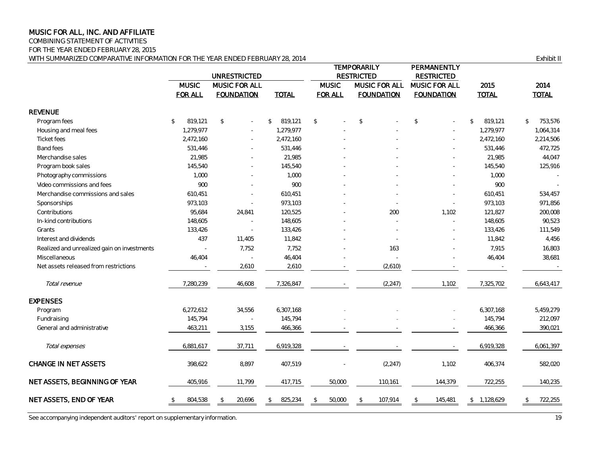COMBINING STATEMENT OF ACTIVITIES

FOR THE YEAR ENDED FEBRUARY 28, 2015

WITH SUMMARIZED COMPARATIVE INFORMATION FOR THE YEAR ENDED FEBRUARY 28, 2014 **Exhibit II** Exhibit II

|                                             |                          | <b>UNRESTRICTED</b> |               |                | <b>TEMPORARILY</b><br><b>RESTRICTED</b> | PERMANENTLY<br><b>RESTRICTED</b> |                 |                       |  |
|---------------------------------------------|--------------------------|---------------------|---------------|----------------|-----------------------------------------|----------------------------------|-----------------|-----------------------|--|
|                                             | <b>MUSIC</b>             | MUSIC FOR ALL       |               | <b>MUSIC</b>   | MUSIC FOR ALL                           | MUSIC FOR ALL                    | 2015            | 2014<br><b>TOTAL</b>  |  |
|                                             | <b>FOR ALL</b>           | <b>FOUNDATION</b>   | <b>TOTAL</b>  | <b>FOR ALL</b> | <b>FOUNDATION</b>                       | <b>FOUNDATION</b>                | <b>TOTAL</b>    |                       |  |
| <b>REVENUE</b>                              |                          |                     |               |                |                                         |                                  |                 |                       |  |
| Program fees                                | $\mathcal{L}$<br>819,121 | $\mathcal{L}$       | 819,121<br>\$ | $\sqrt{2}$     | $\mathcal{L}$                           | $$\mathsf{\$}$                   | 819,121<br>\$   | 753,576<br>$\sqrt{2}$ |  |
| Housing and meal fees                       | 1.279.977                |                     | 1,279,977     |                |                                         |                                  | 1,279,977       | 1,064,314             |  |
| <b>Ticket fees</b>                          | 2,472,160                |                     | 2,472,160     |                |                                         |                                  | 2,472,160       | 2,214,506             |  |
| <b>Band fees</b>                            | 531,446                  |                     | 531,446       |                |                                         |                                  | 531,446         | 472,725               |  |
| Merchandise sales                           | 21,985                   |                     | 21,985        |                |                                         |                                  | 21,985          | 44,047                |  |
| Program book sales                          | 145,540                  |                     | 145,540       |                |                                         |                                  | 145,540         | 125,916               |  |
| Photography commissions                     | 1,000                    |                     | 1,000         |                |                                         |                                  | 1,000           |                       |  |
| Video commissions and fees                  | 900                      |                     | 900           |                |                                         |                                  | 900             |                       |  |
| Merchandise commissions and sales           | 610,451                  |                     | 610,451       |                |                                         |                                  | 610,451         | 534,457               |  |
| Sponsorships                                | 973,103                  |                     | 973,103       |                |                                         | ÷,                               | 973,103         | 971,856               |  |
| Contributions                               | 95,684                   | 24,841              | 120,525       |                | 200                                     | 1,102                            | 121,827         | 200,008               |  |
| In-kind contributions                       | 148,605                  |                     | 148,605       |                |                                         |                                  | 148,605         | 90,523                |  |
| Grants                                      | 133,426                  | $\sim$              | 133,426       |                |                                         |                                  | 133,426         | 111,549               |  |
| Interest and dividends                      | 437                      | 11,405              | 11,842        |                |                                         |                                  | 11,842          | 4,456                 |  |
| Realized and unrealized gain on investments |                          | 7,752               | 7,752         |                | 163                                     |                                  | 7,915           | 16,803                |  |
| Miscellaneous                               | 46,404                   |                     | 46,404        |                |                                         |                                  | 46,404          | 38,681                |  |
| Net assets released from restrictions       |                          | 2,610               | 2,610         |                | (2,610)                                 |                                  |                 |                       |  |
| Total revenue                               | 7,280,239                | 46,608              | 7,326,847     |                | (2, 247)                                | 1,102                            | 7,325,702       | 6,643,417             |  |
| <b>EXPENSES</b>                             |                          |                     |               |                |                                         |                                  |                 |                       |  |
| Program                                     | 6,272,612                | 34,556              | 6,307,168     |                |                                         |                                  | 6,307,168       | 5,459,279             |  |
| Fundraising                                 | 145,794                  |                     | 145,794       |                |                                         |                                  | 145,794         | 212,097               |  |
| General and administrative                  | 463,211                  | 3,155               | 466,366       |                |                                         |                                  | 466,366         | 390,021               |  |
| Total expenses                              | 6,881,617                | 37,711              | 6,919,328     |                |                                         |                                  | 6,919,328       | 6,061,397             |  |
| <b>CHANGE IN NET ASSETS</b>                 | 398,622                  | 8,897               | 407,519       |                | (2, 247)                                | 1,102                            | 406,374         | 582,020               |  |
| NET ASSETS, BEGINNING OF YEAR               | 405,916                  | 11,799              | 417,715       | 50,000         | 110,161                                 | 144,379                          | 722,255         | 140,235               |  |
| NET ASSETS, END OF YEAR                     | 804,538                  | 20,696              | 825,234       | 50,000         | 107,914<br>\$                           | 145,481<br>\$                    | 1,128,629<br>\$ | 722,255               |  |

See accompanying independent auditors' report on supplementary information. 19<br>
19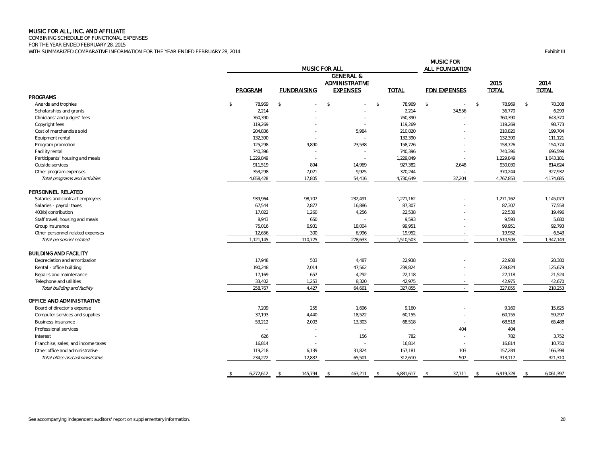COMBINING SCHEDULE OF FUNCTIONAL EXPENSES

FOR THE YEAR ENDED FEBRUARY 28, 2015 WITH SUMMARIZED COMPARATIVE INFORMATION FOR THE YEAR ENDED FEBRUARY 28, 2014 **Exhibit III Exhibit III Exhibit III** 

MUSIC FOR ALL FOUNDATION GENERAL & ADMINISTRATIVE 2015 2014 PROGRAM FUNDRAISING EXPENSES TOTAL FDN EXPENSES TOTAL TOTAL PROGRAMS Awards and trophies \$ 78,969 \$ \$ 78,969 \$ 78,969 \$ 78,969 \$ 78,308 Scholarships and grants 2,214 - - 2,214 34,556 36,770 6,299 Clinicians' and judges' fees 760,390 - - 760,390 - 760,390 643,370 Copyright fees 2008 - 2009 119,269 - 2009 119,269 - 2009 119,269 - 2009 119,269 - 2009 119,269 - 2009 119,269 119,269 - 2009 119,269 - 2009 119,269 - 2009 119,269 - 2009 119,269 - 2009 119,269 - 2009 119,269 - 2009 119,269 Cost of merchandise sold 204,836 - 5,984 210,820 - 210,820 199,704 Equipment rental 132,390 111,121 - 132,390 132,390 - 132,390 132,390 - 132,390 111,121 Program promotion 125,298 125,298 9,890 23,538 158,726 - 126,726 158,726 158,726 158,726 158,726 159,726 159,726 Facility rental 2008 - 740,396 - 740,396 - 740,396 - 740,396 - 740,396 - 740,396 - 740,396 - 740,396 - 740,396 Participants' housing and meals **1,229,849** 1,043,181 Outside services 911,519 894 14,969 927,382 2,648 930,030 814,624 Other program expenses 7,021 7,0244 327,932 Total programs and activities and activities the state of the state of the state of the state of the 4,730,649 54,416 54,416 4,730,649 37,204 4,767,853 4,174,685 PERSONNEL RELATED Salaries and contract employees **1,271,162** 1,145,079 1,271,162 1,271,162 1,271,162 1,271,162 1,145,079 1,271,162 Salaries - payroll taxes 67,544 2,877 16,886 87,307 - 87,307 77,558 403(b) contribution 17,022 1,260 4,256 22,538 - 22,538 19,496 Staff travel, housing and meals **8,943** 650 650 - 9,593 - 9,593 9,593 9,593 9,593 9,593 9,593 5,680 Group insurance 75,016 6,931 18,004 99,951 - 99,951 92,793 Other personnel related expenses and the content of the content of the content of the content of the content of the content of the content of the content of the content of the content of the content of the content of the c Total personnel related 1,347,149 1,121,145 110,725 278,633 1,510,503 1,510,503 1,510,503 1,347,149 1,510,503 1,347,149 BUILDING AND FACILITY Pepreciation and amortization 17,948 17,948 503 4,487 22,938 22,938 22,938 23,380 28,380 28,380 Rental - office building 239,824 2,014 190,248 2,014 2,014 2,014 2,03824 239,824 239,824 239,824 239,824 125,679 Repairs and maintenance 2002 17,169 17,169 17,169 17,169 17,169 22,118 22,118 22,118 22,118 22,118 22,118 22,118 Telephone and utilities 33,402 33,402 33,402 33,402 33,402 33,402 33,402 342,975 - 42,975 42,975 42,975 42,975 Total building and facility and the control total building and facility 218,253 218,253 218,253 218,253 218,253 OFFICE AND ADMINISTRATIVE Board of director's expense 25,625 1,696 255 1,696 9,160 256 9,160 9,160 9,160 9,160 9,160 15,625 Computer services and supplies and supplies and supplies 37,193 4,440 4,440 4,440 4,440 4,440 60,155 60,155 60,155 59,297 Business insurance 53,212 2,003 13,303 68,518 - 68,518 65,488 Professional services - - - - 404 404 - Interest 626 - 156 782 - 782 3,752 Franchise, sales, and income taxes example and the same taxes of the same taxes of the same taxes of the same taxes of the same taxes of the same taxes of the same taxes of the same taxes of the same taxes of the same taxe Other office and administrative 119,208 119,218 6,139 31,824 157,181 103 103 157,284 166,398 Total office and administrative 231,310 234,272 12,837 55,501 312,610 507 313,117 321,310 \$ 6,272,612 \$ 145,794 \$ 463,211 \$ 6,881,617 \$ 37,711 \$ 6,919,328 \$ 6,061,397 MUSIC FOR ALL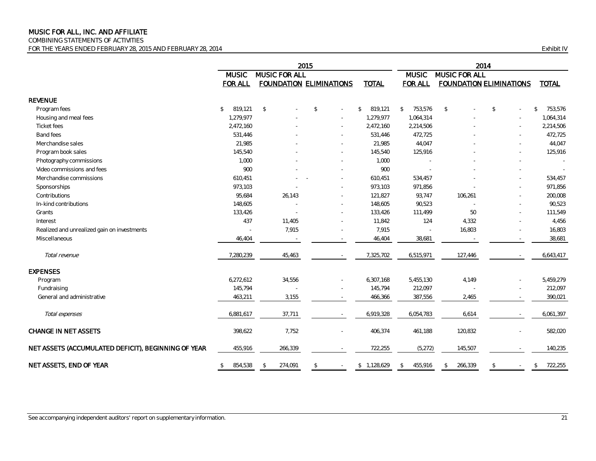COMBINING STATEMENTS OF ACTIVITIES

FOR THE YEARS ENDED FEBRUARY 28, 2015 AND FEBRUARY 28, 2014 **Exhibit IV** Exhibit IV

|                                                     | 2015                    |               |                                |               |        | 2014          |                       |                                |                |                          |
|-----------------------------------------------------|-------------------------|---------------|--------------------------------|---------------|--------|---------------|-----------------------|--------------------------------|----------------|--------------------------|
|                                                     | <b>MUSIC</b>            |               | MUSIC FOR ALL                  |               |        |               | <b>MUSIC</b>          | MUSIC FOR ALL                  |                |                          |
|                                                     | <b>FOR ALL</b>          |               | <b>FOUNDATION ELIMINATIONS</b> |               |        | <b>TOTAL</b>  | <b>FOR ALL</b>        | <b>FOUNDATION ELIMINATIONS</b> |                | <b>TOTAL</b>             |
| <b>REVENUE</b>                                      |                         |               |                                |               |        |               |                       |                                |                |                          |
| Program fees                                        | 819.121<br>$\mathbb{S}$ | $\mathcal{L}$ |                                | $\mathcal{S}$ |        | 819,121<br>\$ | $\sqrt{2}$<br>753,576 | $\mathbb{S}$                   | \$             | 753,576<br>$\mathcal{S}$ |
| Housing and meal fees                               | 1,279,977               |               |                                |               |        | 1,279,977     | 1,064,314             |                                |                | 1,064,314                |
| <b>Ticket fees</b>                                  | 2,472,160               |               |                                |               |        | 2,472,160     | 2,214,506             |                                |                | 2,214,506                |
| Band fees                                           | 531,446                 |               |                                |               |        | 531,446       | 472,725               |                                |                | 472,725                  |
| Merchandise sales                                   | 21,985                  |               |                                |               |        | 21,985        | 44,047                |                                |                | 44,047                   |
| Program book sales                                  | 145,540                 |               |                                |               |        | 145,540       | 125,916               |                                |                | 125,916                  |
| Photography commissions                             | 1,000                   |               |                                |               |        | 1,000         |                       |                                |                |                          |
| Video commissions and fees                          | 900                     |               |                                |               |        | 900           |                       |                                |                | $\sim$                   |
| Merchandise commissions                             | 610,451                 |               |                                |               |        | 610,451       | 534,457               |                                | $\overline{a}$ | 534,457                  |
| Sponsorships                                        | 973,103                 |               |                                |               |        | 973,103       | 971,856               |                                | $\sim$         | 971,856                  |
| Contributions                                       | 95,684                  |               | 26,143                         |               |        | 121,827       | 93,747                | 106,261                        |                | 200,008                  |
| In-kind contributions                               | 148,605                 |               |                                |               |        | 148,605       | 90,523                |                                |                | 90,523                   |
| Grants                                              | 133,426                 |               |                                |               |        | 133,426       | 111,499               | 50                             |                | 111,549                  |
| Interest                                            | 437                     |               | 11,405                         |               |        | 11,842        | 124                   | 4,332                          |                | 4,456                    |
| Realized and unrealized gain on investments         |                         |               | 7,915                          |               |        | 7,915         |                       | 16,803                         |                | 16,803                   |
| Miscellaneous                                       | 46,404                  |               |                                |               |        | 46,404        | 38,681                |                                |                | 38,681                   |
| Total revenue                                       | 7,280,239               |               | 45,463                         |               |        | 7,325,702     | 6,515,971             | 127,446                        |                | 6,643,417                |
| <b>EXPENSES</b>                                     |                         |               |                                |               |        |               |                       |                                |                |                          |
| Program                                             | 6,272,612               |               | 34,556                         |               |        | 6,307,168     | 5,455,130             | 4,149                          |                | 5,459,279                |
| Fundraising                                         | 145,794                 |               |                                |               |        | 145,794       | 212,097               |                                |                | 212,097                  |
| General and administrative                          | 463,211                 |               | 3,155                          |               |        | 466,366       | 387,556               | 2,465                          |                | 390,021                  |
| Total expenses                                      | 6,881,617               |               | 37,711                         |               |        | 6,919,328     | 6,054,783             | 6,614                          |                | 6,061,397                |
| CHANGE IN NET ASSETS                                | 398,622                 |               | 7,752                          |               | $\sim$ | 406,374       | 461,188               | 120,832                        |                | 582,020                  |
| NET ASSETS (ACCUMULATED DEFICIT), BEGINNING OF YEAR | 455,916                 |               | 266,339                        |               |        | 722,255       | (5, 272)              | 145,507                        |                | 140,235                  |
| NET ASSETS, END OF YEAR                             | 854,538<br>\$           | \$            | 274,091                        | \$            | $\sim$ | \$1,128,629   | 455,916<br>\$         | 266,339<br>\$                  | \$             | 722,255<br>$\mathcal{L}$ |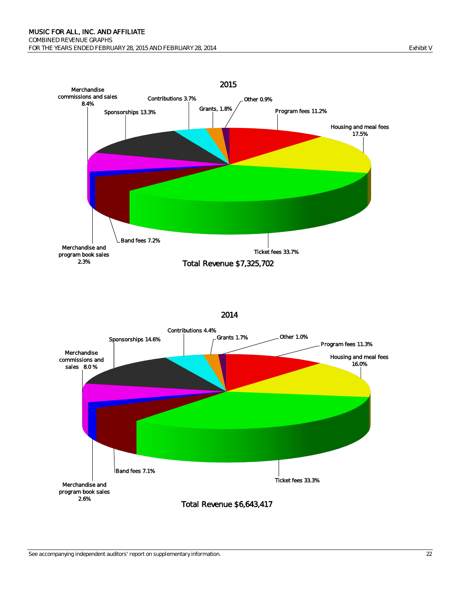